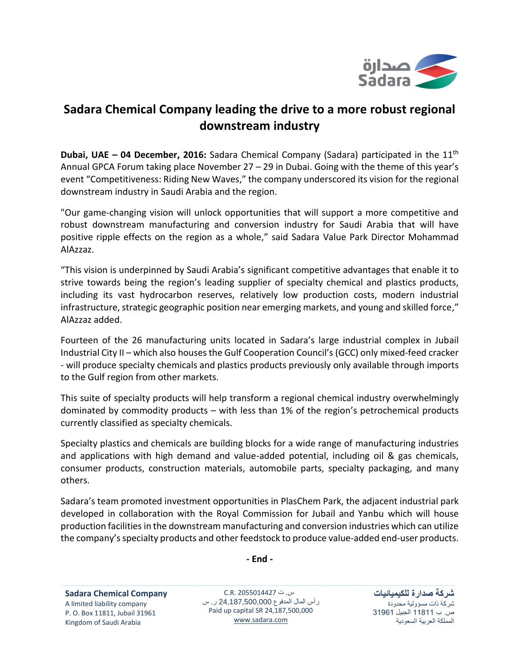

## **Sadara Chemical Company leading the drive to a more robust regional downstream industry**

**Dubai, UAE – 04 December, 2016:** Sadara Chemical Company (Sadara) participated in the 11<sup>th</sup> Annual GPCA Forum taking place November 27 – 29 in Dubai. Going with the theme of this year's event "Competitiveness: Riding New Waves," the company underscored its vision for the regional downstream industry in Saudi Arabia and the region.

"Our game-changing vision will unlock opportunities that will support a more competitive and robust downstream manufacturing and conversion industry for Saudi Arabia that will have positive ripple effects on the region as a whole," said Sadara Value Park Director Mohammad AlAzzaz.

"This vision is underpinned by Saudi Arabia's significant competitive advantages that enable it to strive towards being the region's leading supplier of specialty chemical and plastics products, including its vast hydrocarbon reserves, relatively low production costs, modern industrial infrastructure, strategic geographic position near emerging markets, and young and skilled force," AlAzzaz added.

Fourteen of the 26 manufacturing units located in Sadara's large industrial complex in Jubail Industrial City II – which also houses the Gulf Cooperation Council's (GCC) only mixed-feed cracker - will produce specialty chemicals and plastics products previously only available through imports to the Gulf region from other markets.

This suite of specialty products will help transform a regional chemical industry overwhelmingly dominated by commodity products – with less than 1% of the region's petrochemical products currently classified as specialty chemicals.

Specialty plastics and chemicals are building blocks for a wide range of manufacturing industries and applications with high demand and value-added potential, including oil & gas chemicals, consumer products, construction materials, automobile parts, specialty packaging, and many others.

Sadara's team promoted investment opportunities in PlasChem Park, the adjacent industrial park developed in collaboration with the Royal Commission for Jubail and Yanbu which will house production facilities in the downstream manufacturing and conversion industries which can utilize the company's specialty products and other feedstock to produce value-added end-user products.

**- End -**

**Sadara Chemical Company** A limited liability company P. O. Box 11811, Jubail 31961 Kingdom of Saudi Arabia

س. ت 2055014427 .R.C رأس المال المدفوع 24,187,500,000 ر. س Paid up capital SR 24,187,500,000 [www.sadara.com](http://www.sadara.com/)

**شركة صدارة للكيميائيات** شركة ذات مسؤولية محدودة ص. ب 11811 الجبيل 31961 المملكة العربية السعودية